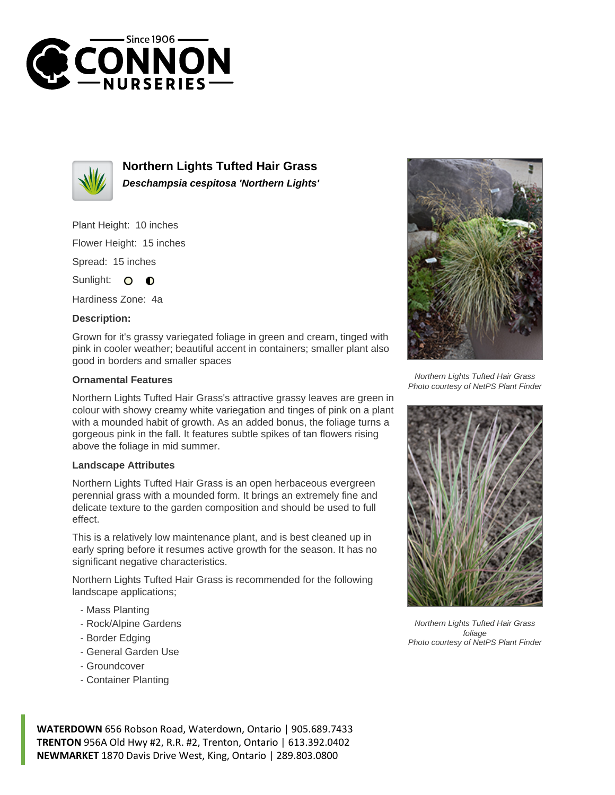



**Northern Lights Tufted Hair Grass Deschampsia cespitosa 'Northern Lights'**

Plant Height: 10 inches

Flower Height: 15 inches

Spread: 15 inches

Sunlight: O O

Hardiness Zone: 4a

## **Description:**

Grown for it's grassy variegated foliage in green and cream, tinged with pink in cooler weather; beautiful accent in containers; smaller plant also good in borders and smaller spaces

## **Ornamental Features**

Northern Lights Tufted Hair Grass's attractive grassy leaves are green in colour with showy creamy white variegation and tinges of pink on a plant with a mounded habit of growth. As an added bonus, the foliage turns a gorgeous pink in the fall. It features subtle spikes of tan flowers rising above the foliage in mid summer.

## **Landscape Attributes**

Northern Lights Tufted Hair Grass is an open herbaceous evergreen perennial grass with a mounded form. It brings an extremely fine and delicate texture to the garden composition and should be used to full effect.

This is a relatively low maintenance plant, and is best cleaned up in early spring before it resumes active growth for the season. It has no significant negative characteristics.

Northern Lights Tufted Hair Grass is recommended for the following landscape applications;

- Mass Planting
- Rock/Alpine Gardens
- Border Edging
- General Garden Use
- Groundcover
- Container Planting



Northern Lights Tufted Hair Grass Photo courtesy of NetPS Plant Finder



Northern Lights Tufted Hair Grass foliage Photo courtesy of NetPS Plant Finder

**WATERDOWN** 656 Robson Road, Waterdown, Ontario | 905.689.7433 **TRENTON** 956A Old Hwy #2, R.R. #2, Trenton, Ontario | 613.392.0402 **NEWMARKET** 1870 Davis Drive West, King, Ontario | 289.803.0800